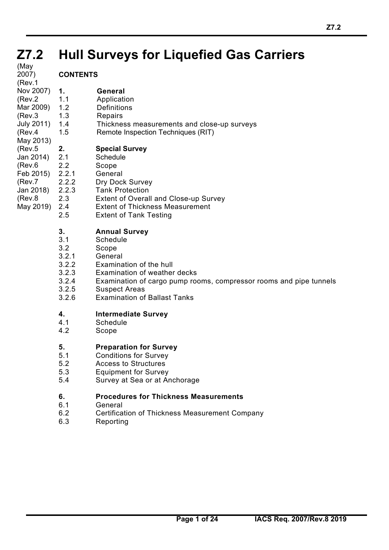#### **Z7.2 Z7.2 Hull Surveys for Liquefied Gas Carriers**

(May 2007) (Rev.1

## **CONTENTS**

- **1. General**  Nov 2007)
- 1.1 Application (Rev.2
- 1.2 Definitions Mar 2009)
- 1.3 Repairs (Rev.3
- 1.4 Thickness measurements and close-up surveys 1.5 Remote Inspection Techniques (RIT) July 2011)
- (Rev.4 May 2013)

#### **2. Special Survey** (Rev.5

- 2.1 Schedule Jan 2014)
- 2.2 Scope (Rev.6
- 2.2.1 General Feb 2015)
- (Rev.7
- 2.2.2 Dry Dock Survey<br>2.2.3 Tank Protection 2.2.3 Tank Protection Jan 2018)
- 2.3 Extent of Overall and Close-up Survey (Rev.8
- 2.4 Extent of Thickness Measurement May 2019)
	- 2.5 Extent of Tank Testing

## **3. Annual Survey**

- 3.1 Schedule
- 3.2 Scope
- 3.2.1 General
- 3.2.2 Examination of the hull
- 3.2.3 Examination of weather decks
- 3.2.4 Examination of cargo pump rooms, compressor rooms and pipe tunnels
- 3.2.5 Suspect Areas
- 3.2.6 Examination of Ballast Tanks

# **4. Intermediate Survey**

- **Schedule**
- 4.2 Scope

## **5. Preparation for Survey**

- 5.1 Conditions for Survey
- 5.2 Access to Structures
- 5.3 Equipment for Survey
- 5.4 Survey at Sea or at Anchorage

## **6. Procedures for Thickness Measurements**

- 6.1 General
- 6.2 Certification of Thickness Measurement Company
- 6.3 Reporting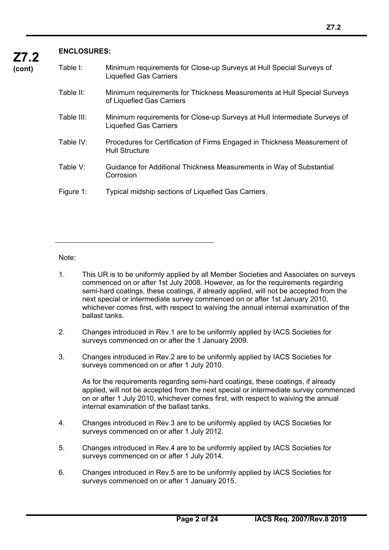## **ENCLOSURES:**

**Z7.2** 

| Table I:   | Minimum requirements for Close-up Surveys at Hull Special Surveys of<br><b>Liquefied Gas Carriers</b>      |
|------------|------------------------------------------------------------------------------------------------------------|
| Table II:  | Minimum requirements for Thickness Measurements at Hull Special Surveys<br>of Liquefied Gas Carriers       |
| Table III: | Minimum requirements for Close-up Surveys at Hull Intermediate Surveys of<br><b>Liquefied Gas Carriers</b> |
| Table IV:  | Procedures for Certification of Firms Engaged in Thickness Measurement of<br><b>Hull Structure</b>         |
| Table V:   | Guidance for Additional Thickness Measurements in Way of Substantial<br>Corrosion                          |
| Figure 1:  | Typical midship sections of Liquefied Gas Carriers.                                                        |

#### Note:

 $\overline{a}$ 

- 1. This UR is to be uniformly applied by all Member Societies and Associates on surveys commenced on or after 1st July 2008. However, as for the requirements regarding semi-hard coatings, these coatings, if already applied, will not be accepted from the next special or intermediate survey commenced on or after 1st January 2010, whichever comes first, with respect to waiving the annual internal examination of the ballast tanks.
- 2. Changes introduced in Rev.1 are to be uniformly applied by IACS Societies for surveys commenced on or after the 1 January 2009.
- 3. Changes introduced in Rev.2 are to be uniformly applied by IACS Societies for surveys commenced on or after 1 July 2010.

 As for the requirements regarding semi-hard coatings, these coatings, if already applied, will not be accepted from the next special or intermediate survey commenced on or after 1 July 2010, whichever comes first, with respect to waiving the annual internal examination of the ballast tanks.

- 4. Changes introduced in Rev.3 are to be uniformly applied by IACS Societies for surveys commenced on or after 1 July 2012.
- 5. Changes introduced in Rev.4 are to be uniformly applied by IACS Societies for surveys commenced on or after 1 July 2014.
- 6. Changes introduced in Rev.5 are to be uniformly applied by IACS Societies for surveys commenced on or after 1 January 2015.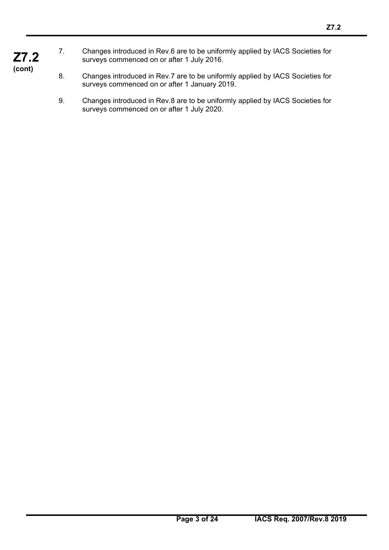- **Z7.2**  7. Changes introduced in Rev.6 are to be uniformly applied by IACS Societies for surveys commenced on or after 1 July 2016.
- **(cont)**

- 8. Changes introduced in Rev.7 are to be uniformly applied by IACS Societies for surveys commenced on or after 1 January 2019.
- 9. Changes introduced in Rev.8 are to be uniformly applied by IACS Societies for surveys commenced on or after 1 July 2020.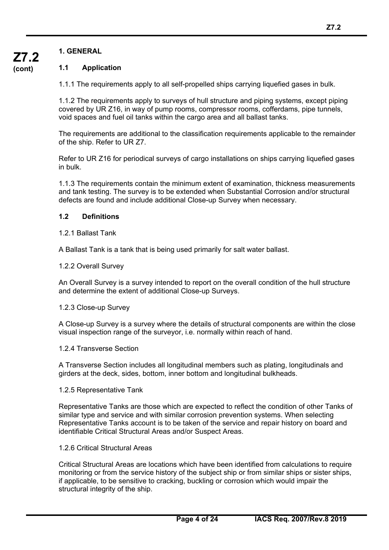**(cont)**

## **1.1 Application**

1.1.1 The requirements apply to all self-propelled ships carrying liquefied gases in bulk.

1.1.2 The requirements apply to surveys of hull structure and piping systems, except piping covered by UR Z16, in way of pump rooms, compressor rooms, cofferdams, pipe tunnels, void spaces and fuel oil tanks within the cargo area and all ballast tanks.

The requirements are additional to the classification requirements applicable to the remainder of the ship. Refer to UR Z7.

Refer to UR Z16 for periodical surveys of cargo installations on ships carrying liquefied gases in bulk.

1.1.3 The requirements contain the minimum extent of examination, thickness measurements and tank testing. The survey is to be extended when Substantial Corrosion and/or structural defects are found and include additional Close-up Survey when necessary.

## **1.2 Definitions**

1.2.1 Ballast Tank

A Ballast Tank is a tank that is being used primarily for salt water ballast.

## 1.2.2 Overall Survey

An Overall Survey is a survey intended to report on the overall condition of the hull structure and determine the extent of additional Close-up Surveys.

## 1.2.3 Close-up Survey

A Close-up Survey is a survey where the details of structural components are within the close visual inspection range of the surveyor, i.e. normally within reach of hand.

## 1.2.4 Transverse Section

A Transverse Section includes all longitudinal members such as plating, longitudinals and girders at the deck, sides, bottom, inner bottom and longitudinal bulkheads.

#### 1.2.5 Representative Tank

Representative Tanks are those which are expected to reflect the condition of other Tanks of similar type and service and with similar corrosion prevention systems. When selecting Representative Tanks account is to be taken of the service and repair history on board and identifiable Critical Structural Areas and/or Suspect Areas.

#### 1.2.6 Critical Structural Areas

 $\overline{a}$ 

Critical Structural Areas are locations which have been identified from calculations to require monitoring or from the service history of the subject ship or from similar ships or sister ships, if applicable, to be sensitive to cracking, buckling or corrosion which would impair the structural integrity of the ship.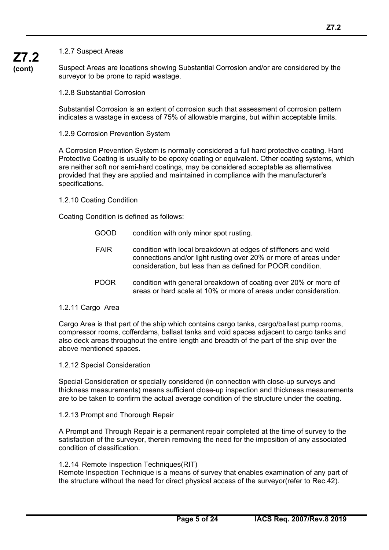**Z7.2** 

**(cont)** Suspect Areas are locations showing Substantial Corrosion and/or are considered by the surveyor to be prone to rapid wastage.

1.2.8 Substantial Corrosion

Substantial Corrosion is an extent of corrosion such that assessment of corrosion pattern indicates a wastage in excess of 75% of allowable margins, but within acceptable limits.

1.2.9 Corrosion Prevention System

A Corrosion Prevention System is normally considered a full hard protective coating. Hard Protective Coating is usually to be epoxy coating or equivalent. Other coating systems, which are neither soft nor semi-hard coatings, may be considered acceptable as alternatives provided that they are applied and maintained in compliance with the manufacturer's specifications.

1.2.10 Coating Condition

Coating Condition is defined as follows:

- GOOD condition with only minor spot rusting.
- FAIR condition with local breakdown at edges of stiffeners and weld connections and/or light rusting over 20% or more of areas under consideration, but less than as defined for POOR condition.
- POOR condition with general breakdown of coating over 20% or more of areas or hard scale at 10% or more of areas under consideration.
- 1.2.11 Cargo Area

 $\overline{a}$ 

Cargo Area is that part of the ship which contains cargo tanks, cargo/ballast pump rooms, compressor rooms, cofferdams, ballast tanks and void spaces adjacent to cargo tanks and also deck areas throughout the entire length and breadth of the part of the ship over the above mentioned spaces.

1.2.12 Special Consideration

Special Consideration or specially considered (in connection with close-up surveys and thickness measurements) means sufficient close-up inspection and thickness measurements are to be taken to confirm the actual average condition of the structure under the coating.

#### 1.2.13 Prompt and Thorough Repair

A Prompt and Through Repair is a permanent repair completed at the time of survey to the satisfaction of the surveyor, therein removing the need for the imposition of any associated condition of classification.

#### 1.2.14 Remote Inspection Techniques(RIT)

Remote Inspection Technique is a means of survey that enables examination of any part of the structure without the need for direct physical access of the surveyor(refer to Rec.42).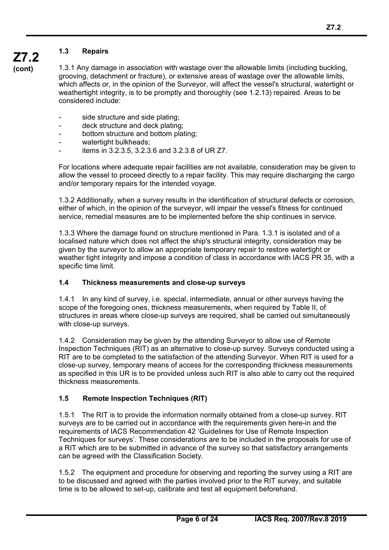## **1.3 Repairs**

**(cont)**

**Z7.2** 

1.3.1 Any damage in association with wastage over the allowable limits (including buckling, grooving, detachment or fracture), or extensive areas of wastage over the allowable limits, which affects or, in the opinion of the Surveyor, will affect the vessel's structural, watertight or weathertight integrity, is to be promptly and thoroughly (see 1.2.13) repaired. Areas to be considered include:

- side structure and side plating;
- deck structure and deck plating;
- bottom structure and bottom plating:
- watertight bulkheads:
- items in 3.2.3.5, 3.2.3.6 and 3.2.3.8 of UR Z7.

For locations where adequate repair facilities are not available, consideration may be given to allow the vessel to proceed directly to a repair facility. This may require discharging the cargo and/or temporary repairs for the intended voyage.

1.3.2 Additionally, when a survey results in the identification of structural defects or corrosion, either of which, in the opinion of the surveyor, will impair the vessel's fitness for continued service, remedial measures are to be implemented before the ship continues in service.

1.3.3 Where the damage found on structure mentioned in Para. 1.3.1 is isolated and of a localised nature which does not affect the ship's structural integrity, consideration may be given by the surveyor to allow an appropriate temporary repair to restore watertight or weather tight integrity and impose a condition of class in accordance with IACS PR 35, with a specific time limit.

#### **1.4 Thickness measurements and close-up surveys**

1.4.1 In any kind of survey, i.e. special, intermediate, annual or other surveys having the scope of the foregoing ones, thickness measurements, when required by Table II, of structures in areas where close-up surveys are required, shall be carried out simultaneously with close-up surveys.

1.4.2 Consideration may be given by the attending Surveyor to allow use of Remote Inspection Techniques (RIT) as an alternative to close-up survey. Surveys conducted using a RIT are to be completed to the satisfaction of the attending Surveyor. When RIT is used for a close-up survey, temporary means of access for the corresponding thickness measurements as specified in this UR is to be provided unless such RIT is also able to carry out the required thickness measurements.

## **1.5 Remote Inspection Techniques (RIT)**

 $\overline{a}$ 

1.5.1 The RIT is to provide the information normally obtained from a close-up survey. RIT surveys are to be carried out in accordance with the requirements given here-in and the requirements of IACS Recommendation 42 'Guidelines for Use of Remote Inspection Techniques for surveys'. These considerations are to be included in the proposals for use of a RIT which are to be submitted in advance of the survey so that satisfactory arrangements can be agreed with the Classification Society.

1.5.2 The equipment and procedure for observing and reporting the survey using a RIT are to be discussed and agreed with the parties involved prior to the RIT survey, and suitable time is to be allowed to set-up, calibrate and test all equipment beforehand.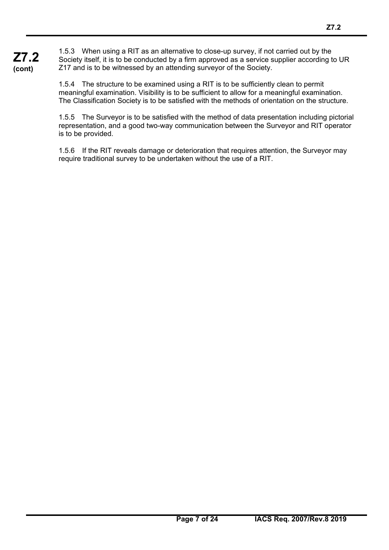**Z7.2 (cont)** 1.5.3 When using a RIT as an alternative to close-up survey, if not carried out by the Society itself, it is to be conducted by a firm approved as a service supplier according to UR Z17 and is to be witnessed by an attending surveyor of the Society.

> 1.5.4 The structure to be examined using a RIT is to be sufficiently clean to permit meaningful examination. Visibility is to be sufficient to allow for a meaningful examination. The Classification Society is to be satisfied with the methods of orientation on the structure.

1.5.5 The Surveyor is to be satisfied with the method of data presentation including pictorial representation, and a good two-way communication between the Surveyor and RIT operator is to be provided.

1.5.6 If the RIT reveals damage or deterioration that requires attention, the Surveyor may require traditional survey to be undertaken without the use of a RIT.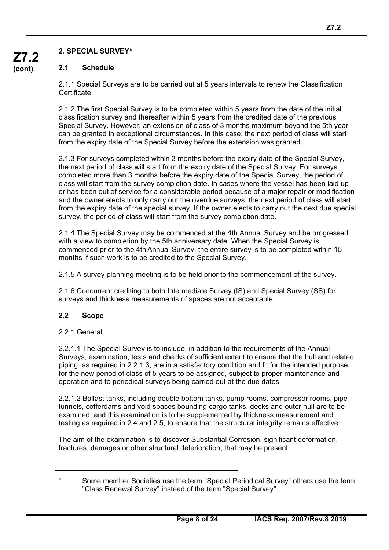## **2.1 Schedule**

2.1.1 Special Surveys are to be carried out at 5 years intervals to renew the Classification Certificate.

2.1.2 The first Special Survey is to be completed within 5 years from the date of the initial classification survey and thereafter within 5 years from the credited date of the previous Special Survey. However, an extension of class of 3 months maximum beyond the 5th year can be granted in exceptional circumstances. In this case, the next period of class will start from the expiry date of the Special Survey before the extension was granted.

2.1.3 For surveys completed within 3 months before the expiry date of the Special Survey, the next period of class will start from the expiry date of the Special Survey. For surveys completed more than 3 months before the expiry date of the Special Survey, the period of class will start from the survey completion date. In cases where the vessel has been laid up or has been out of service for a considerable period because of a major repair or modification and the owner elects to only carry out the overdue surveys, the next period of class will start from the expiry date of the special survey. If the owner elects to carry out the next due special survey, the period of class will start from the survey completion date.

2.1.4 The Special Survey may be commenced at the 4th Annual Survey and be progressed with a view to completion by the 5th anniversary date. When the Special Survey is commenced prior to the 4th Annual Survey, the entire survey is to be completed within 15 months if such work is to be credited to the Special Survey.

2.1.5 A survey planning meeting is to be held prior to the commencement of the survey.

2.1.6 Concurrent crediting to both Intermediate Survey (IS) and Special Survey (SS) for surveys and thickness measurements of spaces are not acceptable.

## **2.2 Scope**

## 2.2.1 General

 $\overline{a}$ 

2.2.1.1 The Special Survey is to include, in addition to the requirements of the Annual Surveys, examination, tests and checks of sufficient extent to ensure that the hull and related piping, as required in 2.2.1.3, are in a satisfactory condition and fit for the intended purpose for the new period of class of 5 years to be assigned, subject to proper maintenance and operation and to periodical surveys being carried out at the due dates.

2.2.1.2 Ballast tanks, including double bottom tanks, pump rooms, compressor rooms, pipe tunnels, cofferdams and void spaces bounding cargo tanks, decks and outer hull are to be examined, and this examination is to be supplemented by thickness measurement and testing as required in 2.4 and 2.5, to ensure that the structural integrity remains effective.

The aim of the examination is to discover Substantial Corrosion, significant deformation, fractures, damages or other structural deterioration, that may be present.

Some member Societies use the term "Special Periodical Survey" others use the term "Class Renewal Survey" instead of the term "Special Survey".

**Z7.2 (cont)**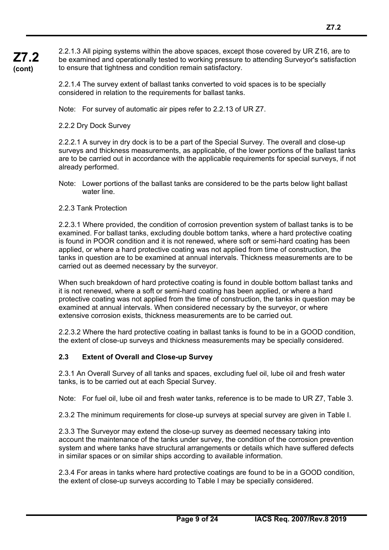**Z7.2 (cont)** 2.2.1.3 All piping systems within the above spaces, except those covered by UR Z16, are to be examined and operationally tested to working pressure to attending Surveyor's satisfaction to ensure that tightness and condition remain satisfactory.

> 2.2.1.4 The survey extent of ballast tanks converted to void spaces is to be specially considered in relation to the requirements for ballast tanks.

Note: For survey of automatic air pipes refer to 2.2.13 of UR Z7.

2.2.2 Dry Dock Survey

2.2.2.1 A survey in dry dock is to be a part of the Special Survey. The overall and close-up surveys and thickness measurements, as applicable, of the lower portions of the ballast tanks are to be carried out in accordance with the applicable requirements for special surveys, if not already performed.

Note: Lower portions of the ballast tanks are considered to be the parts below light ballast water line.

#### 2.2.3 Tank Protection

 $\overline{a}$ 

2.2.3.1 Where provided, the condition of corrosion prevention system of ballast tanks is to be examined. For ballast tanks, excluding double bottom tanks, where a hard protective coating is found in POOR condition and it is not renewed, where soft or semi-hard coating has been applied, or where a hard protective coating was not applied from time of construction, the tanks in question are to be examined at annual intervals. Thickness measurements are to be carried out as deemed necessary by the surveyor.

When such breakdown of hard protective coating is found in double bottom ballast tanks and it is not renewed, where a soft or semi-hard coating has been applied, or where a hard protective coating was not applied from the time of construction, the tanks in question may be examined at annual intervals. When considered necessary by the surveyor, or where extensive corrosion exists, thickness measurements are to be carried out.

2.2.3.2 Where the hard protective coating in ballast tanks is found to be in a GOOD condition, the extent of close-up surveys and thickness measurements may be specially considered.

#### **2.3 Extent of Overall and Close-up Survey**

2.3.1 An Overall Survey of all tanks and spaces, excluding fuel oil, lube oil and fresh water tanks, is to be carried out at each Special Survey.

Note: For fuel oil, lube oil and fresh water tanks, reference is to be made to UR Z7, Table 3.

2.3.2 The minimum requirements for close-up surveys at special survey are given in Table I.

2.3.3 The Surveyor may extend the close-up survey as deemed necessary taking into account the maintenance of the tanks under survey, the condition of the corrosion prevention system and where tanks have structural arrangements or details which have suffered defects in similar spaces or on similar ships according to available information.

2.3.4 For areas in tanks where hard protective coatings are found to be in a GOOD condition, the extent of close-up surveys according to Table I may be specially considered.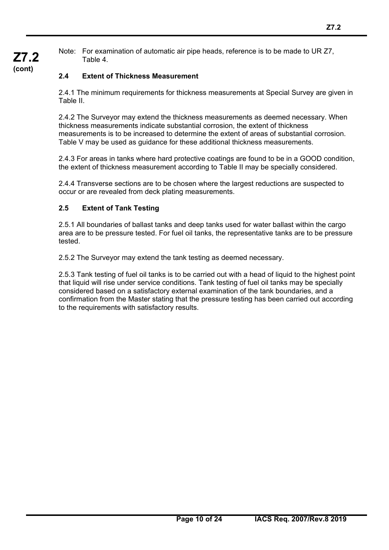Note: For examination of automatic air pipe heads, reference is to be made to UR Z7, Table 4.

## **2.4 Extent of Thickness Measurement**

2.4.1 The minimum requirements for thickness measurements at Special Survey are given in Table II.

2.4.2 The Surveyor may extend the thickness measurements as deemed necessary. When thickness measurements indicate substantial corrosion, the extent of thickness measurements is to be increased to determine the extent of areas of substantial corrosion. Table V may be used as guidance for these additional thickness measurements.

2.4.3 For areas in tanks where hard protective coatings are found to be in a GOOD condition, the extent of thickness measurement according to Table II may be specially considered.

2.4.4 Transverse sections are to be chosen where the largest reductions are suspected to occur or are revealed from deck plating measurements.

## **2.5 Extent of Tank Testing**

 $\overline{a}$ 

2.5.1 All boundaries of ballast tanks and deep tanks used for water ballast within the cargo area are to be pressure tested. For fuel oil tanks, the representative tanks are to be pressure tested.

2.5.2 The Surveyor may extend the tank testing as deemed necessary.

2.5.3 Tank testing of fuel oil tanks is to be carried out with a head of liquid to the highest point that liquid will rise under service conditions. Tank testing of fuel oil tanks may be specially considered based on a satisfactory external examination of the tank boundaries, and a confirmation from the Master stating that the pressure testing has been carried out according to the requirements with satisfactory results.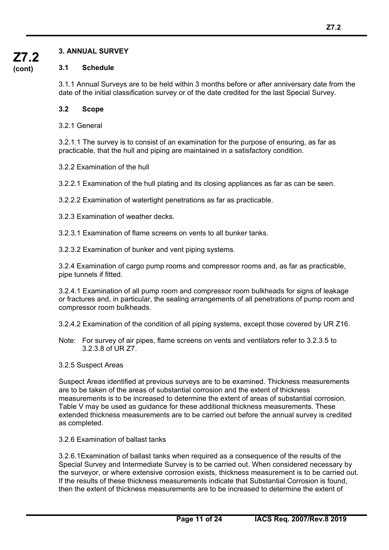## **3. ANNUAL SURVEY**

#### **3.1 Schedule**

3.1.1 Annual Surveys are to be held within 3 months before or after anniversary date from the date of the initial classification survey or of the date credited for the last Special Survey.

#### **3.2 Scope**

3.2.1 General

3.2.1.1 The survey is to consist of an examination for the purpose of ensuring, as far as practicable, that the hull and piping are maintained in a satisfactory condition.

3.2.2 Examination of the hull

3.2.2.1 Examination of the hull plating and its closing appliances as far as can be seen.

3.2.2.2 Examination of watertight penetrations as far as practicable.

3.2.3 Examination of weather decks.

3.2.3.1 Examination of flame screens on vents to all bunker tanks.

3.2.3.2 Examination of bunker and vent piping systems.

3.2.4 Examination of cargo pump rooms and compressor rooms and, as far as practicable, pipe tunnels if fitted.

3.2.4.1 Examination of all pump room and compressor room bulkheads for signs of leakage or fractures and, in particular, the sealing arrangements of all penetrations of pump room and compressor room bulkheads.

3.2.4.2 Examination of the condition of all piping systems, except those covered by UR Z16.

- Note: For survey of air pipes, flame screens on vents and ventilators refer to 3.2.3.5 to 3.2.3.8 of UR Z7.
- 3.2.5 Suspect Areas

 $\overline{a}$ 

Suspect Areas identified at previous surveys are to be examined. Thickness measurements are to be taken of the areas of substantial corrosion and the extent of thickness measurements is to be increased to determine the extent of areas of substantial corrosion. Table V may be used as guidance for these additional thickness measurements. These extended thickness measurements are to be carried out before the annual survey is credited as completed.

3.2.6 Examination of ballast tanks

3.2.6.1Examination of ballast tanks when required as a consequence of the results of the Special Survey and Intermediate Survey is to be carried out. When considered necessary by the surveyor, or where extensive corrosion exists, thickness measurement is to be carried out. If the results of these thickness measurements indicate that Substantial Corrosion is found, then the extent of thickness measurements are to be increased to determine the extent of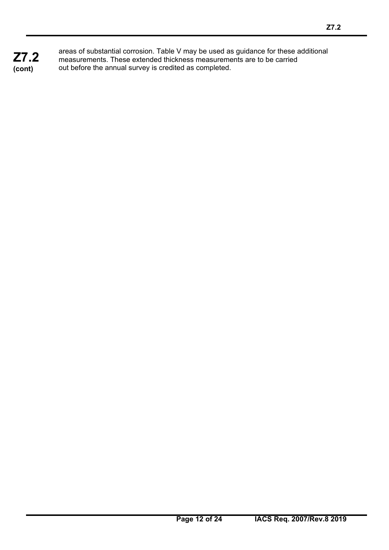**Z7.2 (cont)**

 $\overline{a}$ 

areas of substantial corrosion. Table V may be used as guidance for these additional measurements. These extended thickness measurements are to be carried out before the annual survey is credited as completed.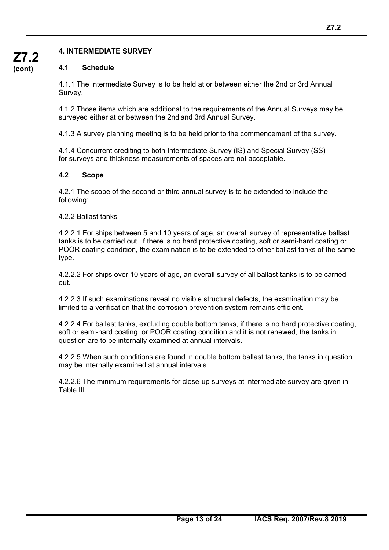## **4. INTERMEDIATE SURVEY**

## **4.1 Schedule**

4.1.1 The Intermediate Survey is to be held at or between either the 2nd or 3rd Annual Survey.

4.1.2 Those items which are additional to the requirements of the Annual Surveys may be surveyed either at or between the 2nd and 3rd Annual Survey.

4.1.3 A survey planning meeting is to be held prior to the commencement of the survey.

4.1.4 Concurrent crediting to both Intermediate Survey (IS) and Special Survey (SS) for surveys and thickness measurements of spaces are not acceptable.

## **4.2 Scope**

4.2.1 The scope of the second or third annual survey is to be extended to include the following:

4.2.2 Ballast tanks

 $\overline{a}$ 

4.2.2.1 For ships between 5 and 10 years of age, an overall survey of representative ballast tanks is to be carried out. If there is no hard protective coating, soft or semi-hard coating or POOR coating condition, the examination is to be extended to other ballast tanks of the same type.

4.2.2.2 For ships over 10 years of age, an overall survey of all ballast tanks is to be carried out.

4.2.2.3 If such examinations reveal no visible structural defects, the examination may be limited to a verification that the corrosion prevention system remains efficient.

4.2.2.4 For ballast tanks, excluding double bottom tanks, if there is no hard protective coating, soft or semi-hard coating, or POOR coating condition and it is not renewed, the tanks in question are to be internally examined at annual intervals.

4.2.2.5 When such conditions are found in double bottom ballast tanks, the tanks in question may be internally examined at annual intervals.

4.2.2.6 The minimum requirements for close-up surveys at intermediate survey are given in Table III.

**Z7.2 (cont)**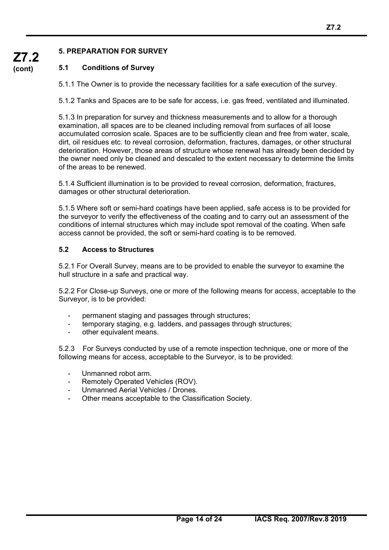## **5. PREPARATION FOR SURVEY**

## **5.1 Conditions of Survey**

5.1.1 The Owner is to provide the necessary facilities for a safe execution of the survey.

5.1.2 Tanks and Spaces are to be safe for access, i.e. gas freed, ventilated and illuminated.

5.1.3 In preparation for survey and thickness measurements and to allow for a thorough examination, all spaces are to be cleaned including removal from surfaces of all loose accumulated corrosion scale. Spaces are to be sufficiently clean and free from water, scale, dirt, oil residues etc. to reveal corrosion, deformation, fractures, damages, or other structural deterioration. However, those areas of structure whose renewal has already been decided by the owner need only be cleaned and descaled to the extent necessary to determine the limits of the areas to be renewed.

5.1.4 Sufficient illumination is to be provided to reveal corrosion, deformation, fractures, damages or other structural deterioration.

5.1.5 Where soft or semi-hard coatings have been applied, safe access is to be provided for the surveyor to verify the effectiveness of the coating and to carry out an assessment of the conditions of internal structures which may include spot removal of the coating. When safe access cannot be provided, the soft or semi-hard coating is to be removed.

#### **5.2 Access to Structures**

5.2.1 For Overall Survey, means are to be provided to enable the surveyor to examine the hull structure in a safe and practical way.

5.2.2 For Close-up Surveys, one or more of the following means for access, acceptable to the Surveyor, is to be provided:

- permanent staging and passages through structures;
- temporary staging, e.g. ladders, and passages through structures;
- other equivalent means.

5.2.3 For Surveys conducted by use of a remote inspection technique, one or more of the following means for access, acceptable to the Surveyor, is to be provided:

Unmanned robot arm.

- Remotely Operated Vehicles (ROV).
- Unmanned Aerial Vehicles / Drones.
- Other means acceptable to the Classification Society.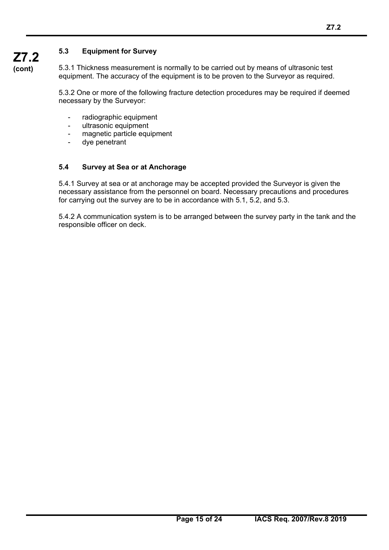## **5.3 Equipment for Survey**

**Z7.2 (cont)**

5.3.1 Thickness measurement is normally to be carried out by means of ultrasonic test equipment. The accuracy of the equipment is to be proven to the Surveyor as required.

5.3.2 One or more of the following fracture detection procedures may be required if deemed necessary by the Surveyor:

- radiographic equipment
- ultrasonic equipment
- magnetic particle equipment
- dye penetrant

 $\overline{a}$ 

#### **5.4 Survey at Sea or at Anchorage**

5.4.1 Survey at sea or at anchorage may be accepted provided the Surveyor is given the necessary assistance from the personnel on board. Necessary precautions and procedures for carrying out the survey are to be in accordance with 5.1, 5.2, and 5.3.

5.4.2 A communication system is to be arranged between the survey party in the tank and the responsible officer on deck.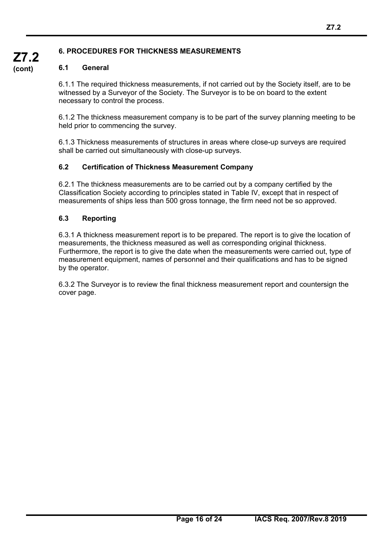## **6. PROCEDURES FOR THICKNESS MEASUREMENTS**

#### **6.1 General**

**Z7.2 (cont)**

> 6.1.1 The required thickness measurements, if not carried out by the Society itself, are to be witnessed by a Surveyor of the Society. The Surveyor is to be on board to the extent necessary to control the process.

6.1.2 The thickness measurement company is to be part of the survey planning meeting to be held prior to commencing the survey.

6.1.3 Thickness measurements of structures in areas where close-up surveys are required shall be carried out simultaneously with close-up surveys.

#### **6.2 Certification of Thickness Measurement Company**

6.2.1 The thickness measurements are to be carried out by a company certified by the Classification Society according to principles stated in Table IV, except that in respect of measurements of ships less than 500 gross tonnage, the firm need not be so approved.

#### **6.3 Reporting**

 $\overline{a}$ 

6.3.1 A thickness measurement report is to be prepared. The report is to give the location of measurements, the thickness measured as well as corresponding original thickness. Furthermore, the report is to give the date when the measurements were carried out, type of measurement equipment, names of personnel and their qualifications and has to be signed by the operator.

6.3.2 The Surveyor is to review the final thickness measurement report and countersign the cover page.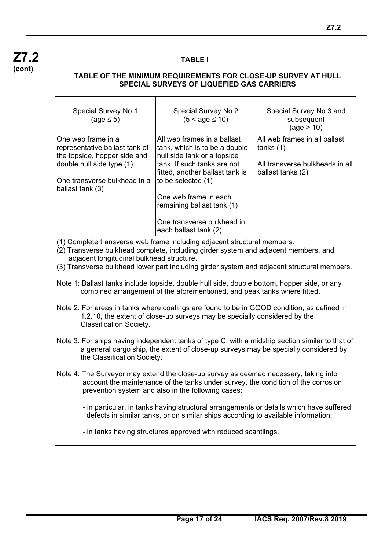$\mathsf{r}$ 

 $\overline{a}$ 

#### **TABLE I**

 $\overline{\phantom{a}}$ 

 $\overline{\mathbf{r}}$ 

#### **TABLE OF THE MINIMUM REQUIREMENTS FOR CLOSE-UP SURVEY AT HULL SPECIAL SURVEYS OF LIQUEFIED GAS CARRIERS**

 $\overline{\phantom{a}}$ 

| <b>Special Survey No.1</b><br>(age $\leq$ 5)                                                                                                                                                                                                                                                                | <b>Special Survey No.2</b><br>$(5 < a$ ge $\leq 10)$                                                                                                                                                                                                                                              | Special Survey No.3 and<br>subsequent<br>(age > 10)                                               |  |  |  |
|-------------------------------------------------------------------------------------------------------------------------------------------------------------------------------------------------------------------------------------------------------------------------------------------------------------|---------------------------------------------------------------------------------------------------------------------------------------------------------------------------------------------------------------------------------------------------------------------------------------------------|---------------------------------------------------------------------------------------------------|--|--|--|
| One web frame in a<br>representative ballast tank of<br>the topside, hopper side and<br>double hull side type (1)<br>One transverse bulkhead in a<br>ballast tank (3)                                                                                                                                       | All web frames in a ballast<br>tank, which is to be a double<br>hull side tank or a topside<br>tank. If such tanks are not<br>fitted, another ballast tank is<br>to be selected (1)<br>One web frame in each<br>remaining ballast tank (1)<br>One transverse bulkhead in<br>each ballast tank (2) | All web frames in all ballast<br>tanks(1)<br>All transverse bulkheads in all<br>ballast tanks (2) |  |  |  |
| (1) Complete transverse web frame including adjacent structural members.<br>(2) Transverse bulkhead complete, including girder system and adjacent members, and<br>adjacent longitudinal bulkhead structure.<br>(3) Transverse bulkhead lower part including girder system and adjacent structural members. |                                                                                                                                                                                                                                                                                                   |                                                                                                   |  |  |  |
| Note 1: Ballast tanks include topside, double hull side, double bottom, hopper side, or any<br>combined arrangement of the aforementioned, and peak tanks where fitted.                                                                                                                                     |                                                                                                                                                                                                                                                                                                   |                                                                                                   |  |  |  |
| Note 2: For areas in tanks where coatings are found to be in GOOD condition, as defined in<br>1.2.10, the extent of close-up surveys may be specially considered by the<br><b>Classification Society.</b>                                                                                                   |                                                                                                                                                                                                                                                                                                   |                                                                                                   |  |  |  |
| Note 3: For ships having independent tanks of type C, with a midship section similar to that of<br>a general cargo ship, the extent of close-up surveys may be specially considered by<br>the Classification Society.                                                                                       |                                                                                                                                                                                                                                                                                                   |                                                                                                   |  |  |  |
| Note 4: The Surveyor may extend the close-up survey as deemed necessary, taking into<br>account the maintenance of the tanks under survey, the condition of the corrosion<br>prevention system and also in the following cases:                                                                             |                                                                                                                                                                                                                                                                                                   |                                                                                                   |  |  |  |
| - in particular, in tanks having structural arrangements or details which have suffered<br>defects in similar tanks, or on similar ships according to available information;                                                                                                                                |                                                                                                                                                                                                                                                                                                   |                                                                                                   |  |  |  |
| - in tanks having structures approved with reduced scantlings.                                                                                                                                                                                                                                              |                                                                                                                                                                                                                                                                                                   |                                                                                                   |  |  |  |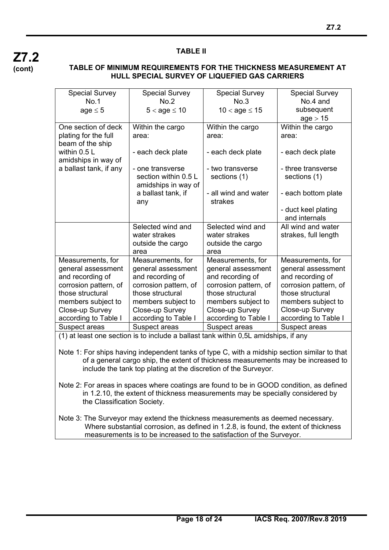

#### **TABLE II**

#### **TABLE OF MINIMUM REQUIREMENTS FOR THE THICKNESS MEASUREMENT AT HULL SPECIAL SURVEY OF LIQUEFIED GAS CARRIERS**

| <b>Special Survey</b>  | <b>Special Survey</b> | <b>Special Survey</b> | <b>Special Survey</b> |
|------------------------|-----------------------|-----------------------|-----------------------|
| No <sub>1</sub>        | No <sub>2</sub>       | No.3                  | No.4 and              |
| $age \leq 5$           | $5 < age \leq 10$     | $10 <$ age $\leq 15$  | subsequent            |
|                        |                       |                       | age > 15              |
| One section of deck    | Within the cargo      | Within the cargo      | Within the cargo      |
| plating for the full   | area:                 | area:                 | area:                 |
| beam of the ship       |                       |                       |                       |
| within 0.5 L           | - each deck plate     | - each deck plate     | - each deck plate     |
| amidships in way of    |                       |                       |                       |
| a ballast tank, if any | - one transverse      | - two transverse      | - three transverse    |
|                        | section within 0.5 L  | sections (1)          | sections (1)          |
|                        | amidships in way of   |                       |                       |
|                        | a ballast tank, if    | - all wind and water  | - each bottom plate   |
|                        | any                   | strakes               |                       |
|                        |                       |                       | - duct keel plating   |
|                        |                       |                       | and internals         |
|                        | Selected wind and     | Selected wind and     | All wind and water    |
|                        | water strakes         | water strakes         | strakes, full length  |
|                        | outside the cargo     | outside the cargo     |                       |
|                        | area                  | area                  |                       |
| Measurements, for      | Measurements, for     | Measurements, for     | Measurements, for     |
| general assessment     | general assessment    | general assessment    | general assessment    |
| and recording of       | and recording of      | and recording of      | and recording of      |
| corrosion pattern, of  | corrosion pattern, of | corrosion pattern, of | corrosion pattern, of |
| those structural       | those structural      | those structural      | those structural      |
| members subject to     | members subject to    | members subject to    | members subject to    |
| Close-up Survey        | Close-up Survey       | Close-up Survey       | Close-up Survey       |
| according to Table I   | according to Table I  | according to Table I  | according to Table I  |
| Suspect areas          | Suspect areas         | Suspect areas         | Suspect areas         |

(1) at least one section is to include a ballast tank within 0,5L amidships, if any

Note 1: For ships having independent tanks of type C, with a midship section similar to that of a general cargo ship, the extent of thickness measurements may be increased to include the tank top plating at the discretion of the Surveyor.

Note 2: For areas in spaces where coatings are found to be in GOOD condition, as defined in 1.2.10, the extent of thickness measurements may be specially considered by the Classification Society.

Note 3: The Surveyor may extend the thickness measurements as deemed necessary. Where substantial corrosion, as defined in 1.2.8, is found, the extent of thickness measurements is to be increased to the satisfaction of the Surveyor.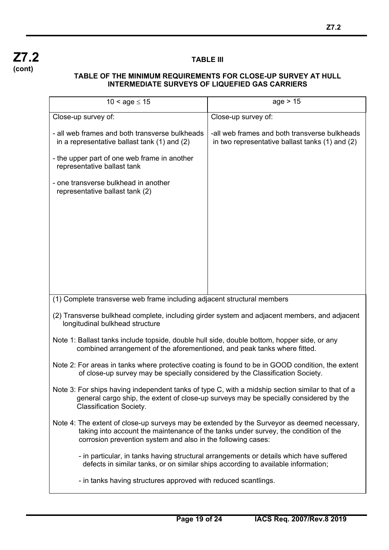

### **TABLE III**

#### **TABLE OF THE MINIMUM REQUIREMENTS FOR CLOSE-UP SURVEY AT HULL INTERMEDIATE SURVEYS OF LIQUEFIED GAS CARRIERS**

| $10 <$ age $\le 15$                                                                                                                                                                                                                                | age > 15                                                                                         |  |  |  |
|----------------------------------------------------------------------------------------------------------------------------------------------------------------------------------------------------------------------------------------------------|--------------------------------------------------------------------------------------------------|--|--|--|
| Close-up survey of:                                                                                                                                                                                                                                | Close-up survey of:                                                                              |  |  |  |
| - all web frames and both transverse bulkheads<br>in a representative ballast tank $(1)$ and $(2)$                                                                                                                                                 | -all web frames and both transverse bulkheads<br>in two representative ballast tanks (1) and (2) |  |  |  |
| - the upper part of one web frame in another<br>representative ballast tank                                                                                                                                                                        |                                                                                                  |  |  |  |
| - one transverse bulkhead in another<br>representative ballast tank (2)                                                                                                                                                                            |                                                                                                  |  |  |  |
|                                                                                                                                                                                                                                                    |                                                                                                  |  |  |  |
|                                                                                                                                                                                                                                                    |                                                                                                  |  |  |  |
|                                                                                                                                                                                                                                                    |                                                                                                  |  |  |  |
|                                                                                                                                                                                                                                                    |                                                                                                  |  |  |  |
|                                                                                                                                                                                                                                                    |                                                                                                  |  |  |  |
| (1) Complete transverse web frame including adjacent structural members                                                                                                                                                                            |                                                                                                  |  |  |  |
| (2) Transverse bulkhead complete, including girder system and adjacent members, and adjacent<br>longitudinal bulkhead structure                                                                                                                    |                                                                                                  |  |  |  |
| Note 1: Ballast tanks include topside, double hull side, double bottom, hopper side, or any<br>combined arrangement of the aforementioned, and peak tanks where fitted.                                                                            |                                                                                                  |  |  |  |
| Note 2: For areas in tanks where protective coating is found to be in GOOD condition, the extent<br>of close-up survey may be specially considered by the Classification Society.                                                                  |                                                                                                  |  |  |  |
| Note 3: For ships having independent tanks of type C, with a midship section similar to that of a<br>general cargo ship, the extent of close-up surveys may be specially considered by the<br><b>Classification Society.</b>                       |                                                                                                  |  |  |  |
| Note 4: The extent of close-up surveys may be extended by the Surveyor as deemed necessary,<br>taking into account the maintenance of the tanks under survey, the condition of the<br>corrosion prevention system and also in the following cases: |                                                                                                  |  |  |  |
| - in particular, in tanks having structural arrangements or details which have suffered<br>defects in similar tanks, or on similar ships according to available information;                                                                       |                                                                                                  |  |  |  |
| - in tanks having structures approved with reduced scantlings.                                                                                                                                                                                     |                                                                                                  |  |  |  |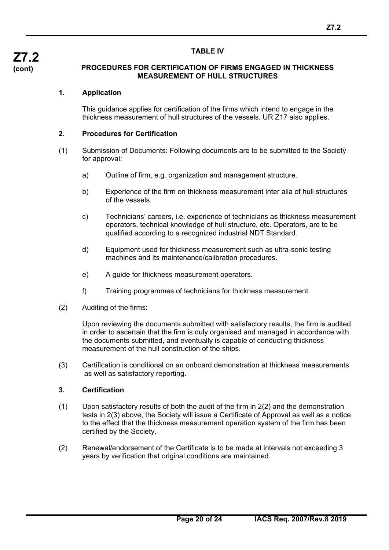#### **TABLE IV**

#### **PROCEDURES FOR CERTIFICATION OF FIRMS ENGAGED IN THICKNESS MEASUREMENT OF HULL STRUCTURES**

## **1. Application**

This guidance applies for certification of the firms which intend to engage in the thickness measurement of hull structures of the vessels. UR Z17 also applies.

#### **2. Procedures for Certification**

- (1) Submission of Documents: Following documents are to be submitted to the Society for approval:
	- a) Outline of firm, e.g. organization and management structure.
	- b) Experience of the firm on thickness measurement inter alia of hull structures of the vessels.
	- c) Technicians' careers, i.e. experience of technicians as thickness measurement operators, technical knowledge of hull structure, etc. Operators, are to be qualified according to a recognized industrial NDT Standard.
	- d) Equipment used for thickness measurement such as ultra-sonic testing machines and its maintenance/calibration procedures.
	- e) A guide for thickness measurement operators.
	- f) Training programmes of technicians for thickness measurement.
- (2) Auditing of the firms:

Upon reviewing the documents submitted with satisfactory results, the firm is audited in order to ascertain that the firm is duly organised and managed in accordance with the documents submitted, and eventually is capable of conducting thickness measurement of the hull construction of the ships.

(3) Certification is conditional on an onboard demonstration at thickness measurements as well as satisfactory reporting.

#### **3. Certification**

- (1) Upon satisfactory results of both the audit of the firm in 2(2) and the demonstration tests in 2(3) above, the Society will issue a Certificate of Approval as well as a notice to the effect that the thickness measurement operation system of the firm has been certified by the Society.
- (2) Renewal/endorsement of the Certificate is to be made at intervals not exceeding 3 years by verification that original conditions are maintained.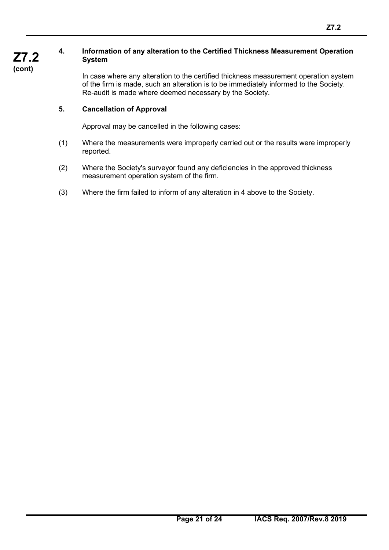## **4. Information of any alteration to the Certified Thickness Measurement Operation System**

 $\overline{a}$ 

In case where any alteration to the certified thickness measurement operation system of the firm is made, such an alteration is to be immediately informed to the Society. Re-audit is made where deemed necessary by the Society.

## **5. Cancellation of Approval**

Approval may be cancelled in the following cases:

- (1) Where the measurements were improperly carried out or the results were improperly reported.
- (2) Where the Society's surveyor found any deficiencies in the approved thickness measurement operation system of the firm.
- (3) Where the firm failed to inform of any alteration in 4 above to the Society.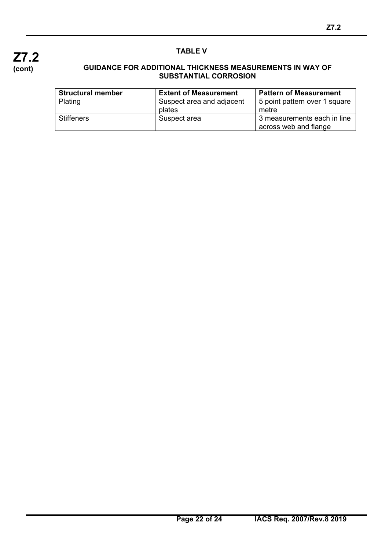

## **TABLE V**

#### **GUIDANCE FOR ADDITIONAL THICKNESS MEASUREMENTS IN WAY OF SUBSTANTIAL CORROSION**

| <b>Structural member</b> | <b>Extent of Measurement</b>        | <b>Pattern of Measurement</b>                        |
|--------------------------|-------------------------------------|------------------------------------------------------|
| Plating                  | Suspect area and adjacent<br>plates | 5 point pattern over 1 square<br>metre               |
| <b>Stiffeners</b>        | Suspect area                        | 3 measurements each in line<br>across web and flange |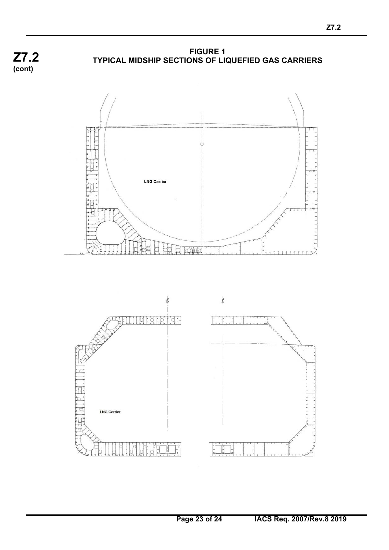

**FIGURE 1 TYPICAL MIDSHIP SECTIONS OF LIQUEFIED GAS CARRIERS**